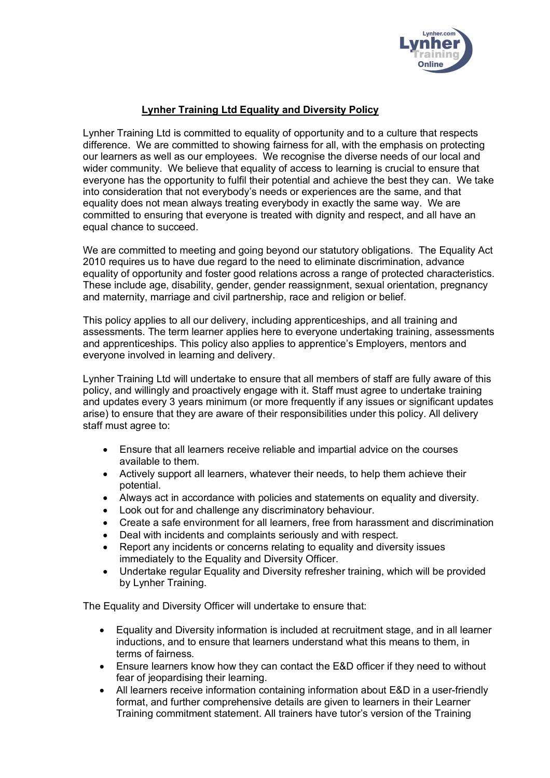

## **Lynher Training Ltd Equality and Diversity Policy**

Lynher Training Ltd is committed to equality of opportunity and to a culture that respects difference. We are committed to showing fairness for all, with the emphasis on protecting our learners as well as our employees. We recognise the diverse needs of our local and wider community. We believe that equality of access to learning is crucial to ensure that everyone has the opportunity to fulfil their potential and achieve the best they can. We take into consideration that not everybody's needs or experiences are the same, and that equality does not mean always treating everybody in exactly the same way. We are committed to ensuring that everyone is treated with dignity and respect, and all have an equal chance to succeed.

We are committed to meeting and going beyond our statutory obligations. The Equality Act 2010 requires us to have due regard to the need to eliminate discrimination, advance equality of opportunity and foster good relations across a range of protected characteristics. These include age, disability, gender, gender reassignment, sexual orientation, pregnancy and maternity, marriage and civil partnership, race and religion or belief.

This policy applies to all our delivery, including apprenticeships, and all training and assessments. The term learner applies here to everyone undertaking training, assessments and apprenticeships. This policy also applies to apprentice's Employers, mentors and everyone involved in learning and delivery.

Lynher Training Ltd will undertake to ensure that all members of staff are fully aware of this policy, and willingly and proactively engage with it. Staff must agree to undertake training and updates every 3 years minimum (or more frequently if any issues or significant updates arise) to ensure that they are aware of their responsibilities under this policy. All delivery staff must agree to:

- Ensure that all learners receive reliable and impartial advice on the courses available to them.
- Actively support all learners, whatever their needs, to help them achieve their potential.
- Always act in accordance with policies and statements on equality and diversity.
- Look out for and challenge any discriminatory behaviour.
- Create a safe environment for all learners, free from harassment and discrimination
- Deal with incidents and complaints seriously and with respect.
- Report any incidents or concerns relating to equality and diversity issues immediately to the Equality and Diversity Officer.
- Undertake regular Equality and Diversity refresher training, which will be provided by Lynher Training.

The Equality and Diversity Officer will undertake to ensure that:

- Equality and Diversity information is included at recruitment stage, and in all learner inductions, and to ensure that learners understand what this means to them, in terms of fairness.
- Ensure learners know how they can contact the E&D officer if they need to without fear of jeopardising their learning.
- All learners receive information containing information about E&D in a user-friendly format, and further comprehensive details are given to learners in their Learner Training commitment statement. All trainers have tutor's version of the Training